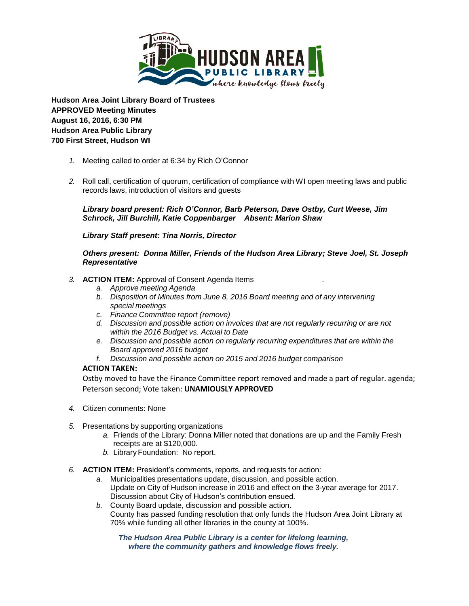

**Hudson Area Joint Library Board of Trustees APPROVED Meeting Minutes August 16, 2016, 6:30 PM Hudson Area Public Library 700 First Street, Hudson WI**

- *1.* Meeting called to order at 6:34 by Rich O'Connor
- *2.* Roll call, certification of quorum, certification of compliance with WI open meeting laws and public records laws, introduction of visitors and guests

*Library board present: Rich O'Connor, Barb Peterson, Dave Ostby, Curt Weese, Jim Schrock, Jill Burchill, Katie Coppenbarger Absent: Marion Shaw*

*Library Staff present: Tina Norris, Director*

*Others present: Donna Miller, Friends of the Hudson Area Library; Steve Joel, St. Joseph Representative*

## *3.* **ACTION ITEM:** Approval of Consent Agenda Items .

- *a. Approve meeting Agenda*
- *b. Disposition of Minutes from June 8, 2016 Board meeting and of any intervening special meetings*
- *c. Finance Committee report (remove)*
- *d. Discussion and possible action on invoices that are not regularly recurring or are not within the 2016 Budget vs. Actual to Date*
- *e. Discussion and possible action on regularly recurring expenditures that are within the Board approved 2016 budget*
- *f. Discussion and possible action on 2015 and 2016 budget comparison*

# **ACTION TAKEN:**

Ostby moved to have the Finance Committee report removed and made a part of regular. agenda; Peterson second; Vote taken: **UNAMIOUSLY APPROVED**

- *4.* Citizen comments: None
- *5.* Presentations by supporting organizations
	- *a.* Friends of the Library: Donna Miller noted that donations are up and the Family Fresh receipts are at \$120,000.
	- *b.* Library Foundation: No report.
- *6.* **ACTION ITEM:** President's comments, reports, and requests for action:
	- *a.* Municipalities presentations update, discussion, and possible action. Update on City of Hudson increase in 2016 and effect on the 3-year average for 2017. Discussion about City of Hudson's contribution ensued.
	- *b.* County Board update, discussion and possible action. County has passed funding resolution that only funds the Hudson Area Joint Library at 70% while funding all other libraries in the county at 100%.

*The Hudson Area Public Library is a center for lifelong learning, where the community gathers and knowledge flows freely.*